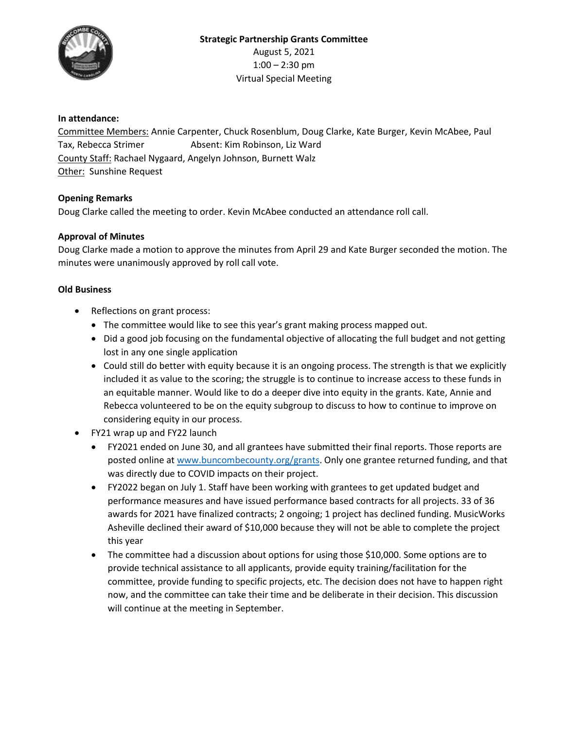

# **In attendance:**

Committee Members: Annie Carpenter, Chuck Rosenblum, Doug Clarke, Kate Burger, Kevin McAbee, Paul Tax, Rebecca Strimer **Absent: Kim Robinson, Liz Ward** County Staff: Rachael Nygaard, Angelyn Johnson, Burnett Walz Other: Sunshine Request

## **Opening Remarks**

Doug Clarke called the meeting to order. Kevin McAbee conducted an attendance roll call.

# **Approval of Minutes**

Doug Clarke made a motion to approve the minutes from April 29 and Kate Burger seconded the motion. The minutes were unanimously approved by roll call vote.

## **Old Business**

- Reflections on grant process:
	- The committee would like to see this year's grant making process mapped out.
	- Did a good job focusing on the fundamental objective of allocating the full budget and not getting lost in any one single application
	- Could still do better with equity because it is an ongoing process. The strength is that we explicitly included it as value to the scoring; the struggle is to continue to increase access to these funds in an equitable manner. Would like to do a deeper dive into equity in the grants. Kate, Annie and Rebecca volunteered to be on the equity subgroup to discuss to how to continue to improve on considering equity in our process.
- FY21 wrap up and FY22 launch
	- FY2021 ended on June 30, and all grantees have submitted their final reports. Those reports are posted online at [www.buncombecounty.org/grants.](http://www.buncombecounty.org/grants) Only one grantee returned funding, and that was directly due to COVID impacts on their project.
	- FY2022 began on July 1. Staff have been working with grantees to get updated budget and performance measures and have issued performance based contracts for all projects. 33 of 36 awards for 2021 have finalized contracts; 2 ongoing; 1 project has declined funding. MusicWorks Asheville declined their award of \$10,000 because they will not be able to complete the project this year
	- The committee had a discussion about options for using those \$10,000. Some options are to provide technical assistance to all applicants, provide equity training/facilitation for the committee, provide funding to specific projects, etc. The decision does not have to happen right now, and the committee can take their time and be deliberate in their decision. This discussion will continue at the meeting in September.